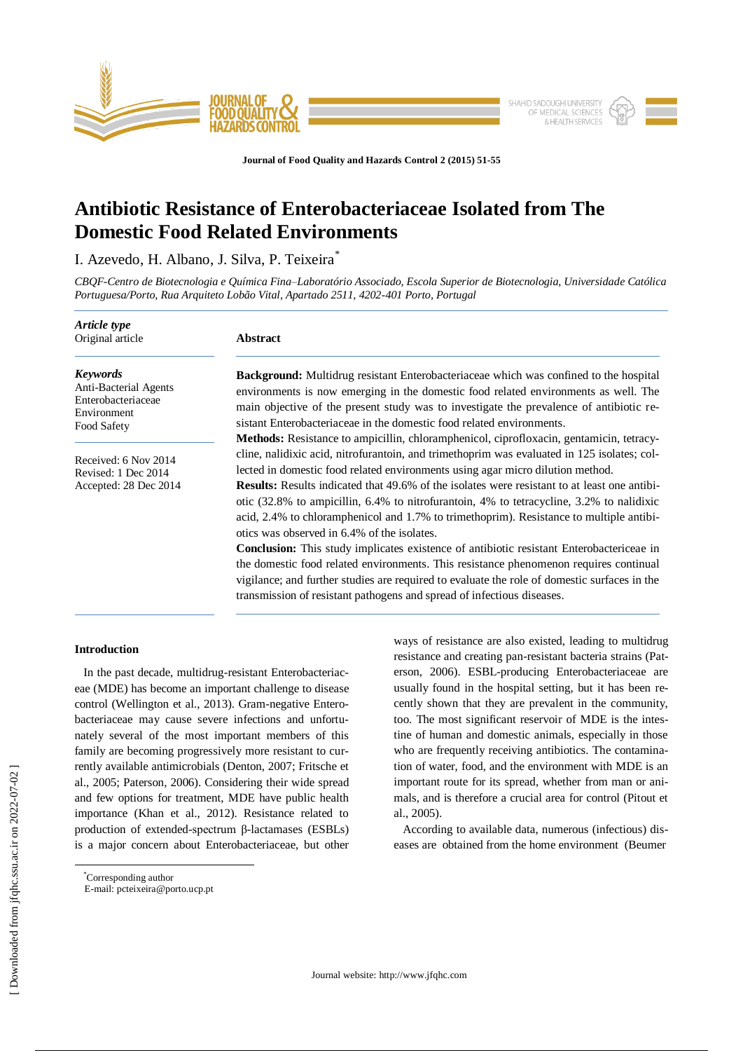

**Journal of Food Quality and Hazards Control 2 (2015) 51-55**

# **Antibiotic Resistance of Enterobacteriaceae Isolated from The Domestic Food Related Environments**

I. Azevedo, H. Albano, J. Silva, P. Teixeira<sup>\*</sup>

*CBQF-Centro de Biotecnologia e Química Fina–Laboratório Associado, Escola Superior de Biotecnologia, Universidade Católica Portuguesa/Porto, Rua Arquiteto Lobão Vital, Apartado 2511, 4202-401 Porto, Portugal*

| Article type<br>Original article                                                             | <b>Abstract</b>                                                                                                                                                                                                                                                                                                                                                                                                                                                                                                                                                                                                              |  |  |  |  |  |
|----------------------------------------------------------------------------------------------|------------------------------------------------------------------------------------------------------------------------------------------------------------------------------------------------------------------------------------------------------------------------------------------------------------------------------------------------------------------------------------------------------------------------------------------------------------------------------------------------------------------------------------------------------------------------------------------------------------------------------|--|--|--|--|--|
| <b>Keywords</b><br>Anti-Bacterial Agents<br>Enterobacteriaceae<br>Environment<br>Food Safety | <b>Background:</b> Multidrug resistant Enterobacteriaceae which was confined to the hospital<br>environments is now emerging in the domestic food related environments as well. The<br>main objective of the present study was to investigate the prevalence of antibiotic re-<br>sistant Enterobacteriaceae in the domestic food related environments.                                                                                                                                                                                                                                                                      |  |  |  |  |  |
| Received: 6 Nov 2014<br>Revised: 1 Dec 2014<br>Accepted: 28 Dec 2014                         | <b>Methods:</b> Resistance to ampicillin, chloramphenicol, ciprofloxacin, gentamicin, tetracy-<br>cline, nalidixic acid, nitrofurantoin, and trimethoprim was evaluated in 125 isolates; col-<br>lected in domestic food related environments using agar micro dilution method.<br><b>Results:</b> Results indicated that 49.6% of the isolates were resistant to at least one antibi-<br>otic (32.8% to ampicillin, 6.4% to nitrofurantoin, 4% to tetracycline, 3.2% to nalidixic<br>acid, 2.4% to chloramphenicol and 1.7% to trimethoprim). Resistance to multiple antibi-<br>otics was observed in 6.4% of the isolates. |  |  |  |  |  |
|                                                                                              | <b>Conclusion:</b> This study implicates existence of antibiotic resistant Enterobactericeae in<br>the domestic food related environments. This resistance phenomenon requires continual<br>vigilance; and further studies are required to evaluate the role of domestic surfaces in the<br>transmission of resistant pathogens and spread of infectious diseases.                                                                                                                                                                                                                                                           |  |  |  |  |  |

ways of resistance are also existed, leading to multidrug resistance and creating pan-resistant bacteria strains (Paterson, 2006). ESBL-producing Enterobacteriaceae are usually found in the hospital setting, but it has been recently shown that they are prevalent in the community, too. The most significant reservoir of MDE is the intestine of human and domestic animals, especially in those who are frequently receiving antibiotics. The contamination of water, food, and the environment with MDE is an important route for its spread, whether from man or animals, and is therefore a crucial area for control (Pitout et

According to available data, numerous (infectious) diseases are obtained from the home environment (Beumer

# **Introduction**

In the past decade, multidrug-resistant Enterobacteriaceae (MDE) has become an important challenge to disease control (Wellington et al., 2013). Gram-negative Enterobacteriaceae may cause severe infections and unfortunately several of the most important members of this family are becoming progressively more resistant to currently available antimicrobials (Denton, 2007; Fritsche et al., 2005; Paterson, 2006). Considering their wide spread and few options for treatment, MDE have public health importance (Khan et al., 2012). Resistance related to production of extended-spectrum β-lactamases (ESBLs) is a major concern about Enterobacteriaceae, but other

\*Corresponding author

 $\overline{a}$ 

al., 2005).

E-mail[: pcteixeira@porto.ucp.pt](mailto:pcteixeira@porto.ucp.pt)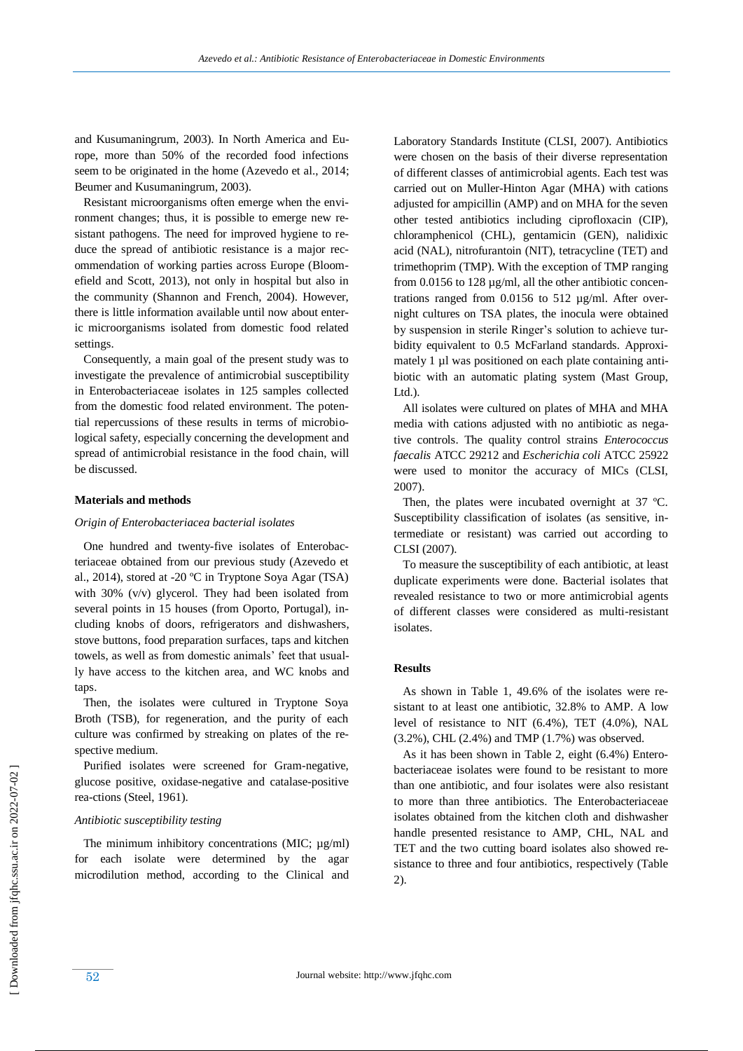and Kusumaningrum, 2003). In North America and Europe, more than 50% of the recorded food infections seem to be originated in the home (Azevedo et al., 2014; Beumer and Kusumaningrum, 2003).

 Resistant microorganisms often emerge when the environment changes; thus, it is possible to emerge new resistant pathogens. The need for improved hygiene to reduce the spread of antibiotic resistance is a major recommendation of working parties across Europe (Bloomefield and Scott, 2013), not only in hospital but also in the community (Shannon and French, 2004). However, there is little information available until now about enteric microorganisms isolated from domestic food related settings.

 Consequently, a main goal of the present study was to investigate the prevalence of antimicrobial susceptibility in Enterobacteriaceae isolates in 125 samples collected from the domestic food related environment. The potential repercussions of these results in terms of microbiological safety, especially concerning the development and spread of antimicrobial resistance in the food chain, will be discussed.

## **Materials and methods**

## *Origin of Enterobacteriacea bacterial isolates*

 One hundred and twenty-five isolates of Enterobacteriaceae obtained from our previous study (Azevedo et al., 2014), stored at -20 ºC in Tryptone Soya Agar (TSA) with 30% (v/v) glycerol. They had been isolated from several points in 15 houses (from Oporto, Portugal), including knobs of doors, refrigerators and dishwashers, stove buttons, food preparation surfaces, taps and kitchen towels, as well as from domestic animals' feet that usually have access to the kitchen area, and WC knobs and taps.

 Then, the isolates were cultured in Tryptone Soya Broth (TSB), for regeneration, and the purity of each culture was confirmed by streaking on plates of the respective medium.

 Purified isolates were screened for Gram-negative, glucose positive, oxidase-negative and catalase-positive rea-ctions (Steel, 1961).

## *Antibiotic susceptibility testing*

The minimum inhibitory concentrations (MIC;  $\mu$ g/ml) for each isolate were determined by the agar microdilution method, according to the Clinical and Laboratory Standards Institute (CLSI, 2007). Antibiotics were chosen on the basis of their diverse representation of different classes of antimicrobial agents. Each test was carried out on Muller-Hinton Agar (MHA) with cations adjusted for ampicillin (AMP) and on MHA for the seven other tested antibiotics including ciprofloxacin (CIP), chloramphenicol (CHL), gentamicin (GEN), nalidixic acid (NAL), nitrofurantoin (NIT), tetracycline (TET) and trimethoprim (TMP). With the exception of TMP ranging from 0.0156 to 128 µg/ml, all the other antibiotic concentrations ranged from 0.0156 to 512 µg/ml. After overnight cultures on TSA plates, the inocula were obtained by suspension in sterile Ringer's solution to achieve turbidity equivalent to 0.5 McFarland standards. Approximately 1 µl was positioned on each plate containing antibiotic with an automatic plating system (Mast Group, Ltd.).

 All isolates were cultured on plates of MHA and MHA media with cations adjusted with no antibiotic as negative controls. The quality control strains *Enterococcus faecalis* ATCC 29212 and *Escherichia coli* ATCC 25922 were used to monitor the accuracy of MICs (CLSI, 2007).

Then, the plates were incubated overnight at 37 °C. Susceptibility classification of isolates (as sensitive, intermediate or resistant) was carried out according to CLSI (2007).

 To measure the susceptibility of each antibiotic, at least duplicate experiments were done. Bacterial isolates that revealed resistance to two or more antimicrobial agents of different classes were considered as multi-resistant isolates.

## **Results**

 As shown in Table 1, 49.6% of the isolates were resistant to at least one antibiotic, 32.8% to AMP. A low level of resistance to NIT (6.4%), TET (4.0%), NAL (3.2%), CHL (2.4%) and TMP (1.7%) was observed.

 As it has been shown in Table 2, eight (6.4%) Enterobacteriaceae isolates were found to be resistant to more than one antibiotic, and four isolates were also resistant to more than three antibiotics. The Enterobacteriaceae isolates obtained from the kitchen cloth and dishwasher handle presented resistance to AMP, CHL, NAL and TET and the two cutting board isolates also showed resistance to three and four antibiotics, respectively (Table 2).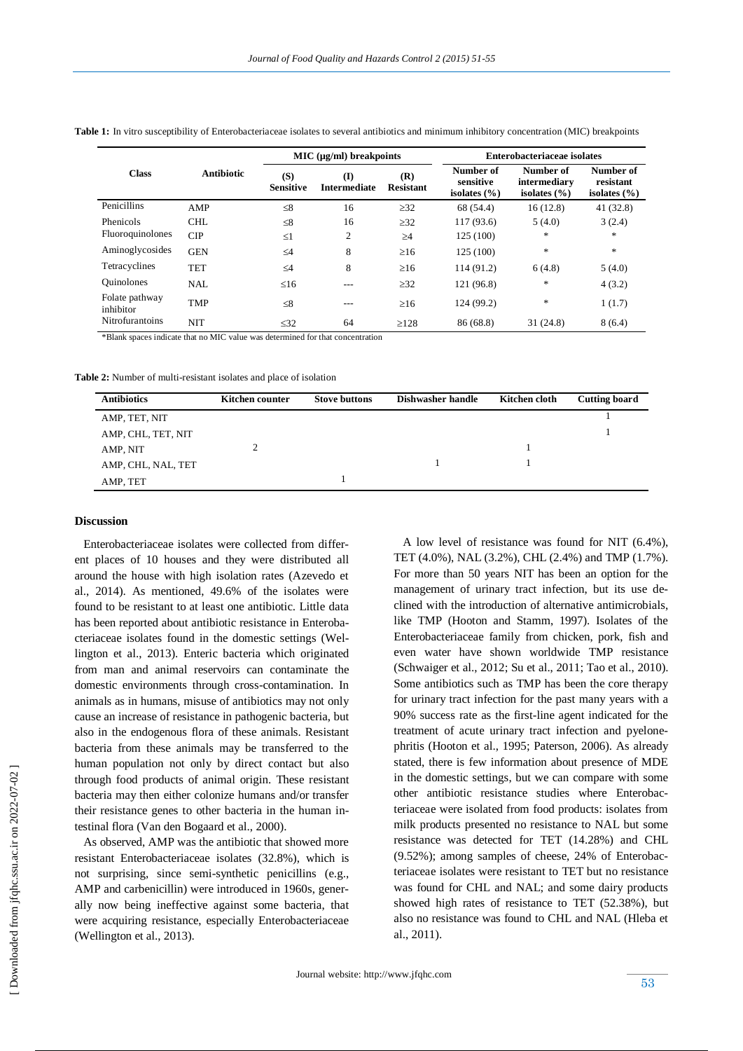|                             |            | $MIC (uq/ml)$ breakpoints |                            |                         | Enterobacteriaceae isolates                |                                               |                                            |
|-----------------------------|------------|---------------------------|----------------------------|-------------------------|--------------------------------------------|-----------------------------------------------|--------------------------------------------|
| <b>Class</b>                | Antibiotic | (S)<br><b>Sensitive</b>   | (I)<br><b>Intermediate</b> | (R)<br><b>Resistant</b> | Number of<br>sensitive<br>isolates $(\% )$ | Number of<br>intermediary<br>isolates $(\% )$ | Number of<br>resistant<br>isolates $(\% )$ |
| Penicillins                 | AMP        | $\leq 8$                  | 16                         | $\geq$ 32               | 68 (54.4)                                  | 16(12.8)                                      | 41(32.8)                                   |
| Phenicols                   | CHL        | $\leq 8$                  | 16                         | $\geq$ 32               | 117 (93.6)                                 | 5(4.0)                                        | 3(2.4)                                     |
| Fluoroquinolones            | <b>CIP</b> | $\leq1$                   | 2                          | $\geq 4$                | 125 (100)                                  | $*$                                           | $\ast$                                     |
| Aminoglycosides             | <b>GEN</b> | $\leq 4$                  | 8                          | $\geq 16$               | 125 (100)                                  | $*$                                           | $\ast$                                     |
| Tetracyclines               | <b>TET</b> | $\leq 4$                  | 8                          | $\geq 16$               | 114 (91.2)                                 | 6(4.8)                                        | 5(4.0)                                     |
| <b>Quinolones</b>           | <b>NAL</b> | $\leq 16$                 | $- - -$                    | $\geq$ 32               | 121 (96.8)                                 | $*$                                           | 4(3.2)                                     |
| Folate pathway<br>inhibitor | <b>TMP</b> | $\leq 8$                  | $- - -$                    | $\geq 16$               | 124 (99.2)                                 | $\ast$                                        | 1(1.7)                                     |
| Nitrofurantoins             | <b>NIT</b> | $\leq$ 32                 | 64                         | $\geq$ 128              | 86 (68.8)                                  | 31(24.8)                                      | 8(6.4)                                     |

Table 1: In vitro susceptibility of Enterobacteriaceae isolates to several antibiotics and minimum inhibitory concentration (MIC) breakpoints

\*Blank spaces indicate that no MIC value was determined for that concentration

**Table 2:** Number of multi-resistant isolates and place of isolation

| <b>Antibiotics</b> | Kitchen counter | <b>Stove buttons</b> | Dishwasher handle | Kitchen cloth | <b>Cutting board</b> |
|--------------------|-----------------|----------------------|-------------------|---------------|----------------------|
| AMP, TET, NIT      |                 |                      |                   |               |                      |
| AMP, CHL, TET, NIT |                 |                      |                   |               |                      |
| AMP, NIT           |                 |                      |                   |               |                      |
| AMP, CHL, NAL, TET |                 |                      |                   |               |                      |
| AMP, TET           |                 |                      |                   |               |                      |

#### **Discussion**

 Enterobacteriaceae isolates were collected from different places of 10 houses and they were distributed all around the house with high isolation rates (Azevedo et al., 2014). As mentioned, 49.6% of the isolates were found to be resistant to at least one antibiotic. Little data has been reported about antibiotic resistance in Enterobacteriaceae isolates found in the domestic settings (Wellington et al., 2013). Enteric bacteria which originated from man and animal reservoirs can contaminate the domestic environments through cross-contamination. In animals as in humans, misuse of antibiotics may not only cause an increase of resistance in pathogenic bacteria, but also in the endogenous flora of these animals. Resistant bacteria from these animals may be transferred to the human population not only by direct contact but also through food products of animal origin. These resistant bacteria may then either colonize humans and/or transfer their resistance genes to other bacteria in the human intestinal flora (Van den Bogaard et al., 2000).

 As observed, AMP was the antibiotic that showed more resistant Enterobacteriaceae isolates (32.8%), which is not surprising, since semi-synthetic penicillins (e.g., AMP and carbenicillin) were introduced in 1960s, generally now being ineffective against some bacteria, that were acquiring resistance, especially Enterobacteriaceae (Wellington et al., 2013).

 A low level of resistance was found for NIT (6.4%), TET (4.0%), NAL (3.2%), CHL (2.4%) and TMP (1.7%). For more than 50 years NIT has been an option for the management of urinary tract infection, but its use declined with the introduction of alternative antimicrobials, like TMP (Hooton and Stamm, 1997). Isolates of the Enterobacteriaceae family from chicken, pork, fish and even water have shown worldwide TMP resistance (Schwaiger et al., 2012; Su et al., 2011; Tao et al., 2010). Some antibiotics such as TMP has been the core therapy for urinary tract infection for the past many years with a 90% success rate as the first-line agent indicated for the treatment of acute urinary tract infection and pyelonephritis (Hooton et al., 1995; Paterson, 2006). As already stated, there is few information about presence of MDE in the domestic settings, but we can compare with some other antibiotic resistance studies where Enterobacteriaceae were isolated from food products: isolates from milk products presented no resistance to NAL but some resistance was detected for TET (14.28%) and CHL (9.52%); among samples of cheese, 24% of Enterobacteriaceae isolates were resistant to TET but no resistance was found for CHL and NAL; and some dairy products showed high rates of resistance to TET (52.38%), but also no resistance was found to CHL and NAL (Hleba et al., 2011).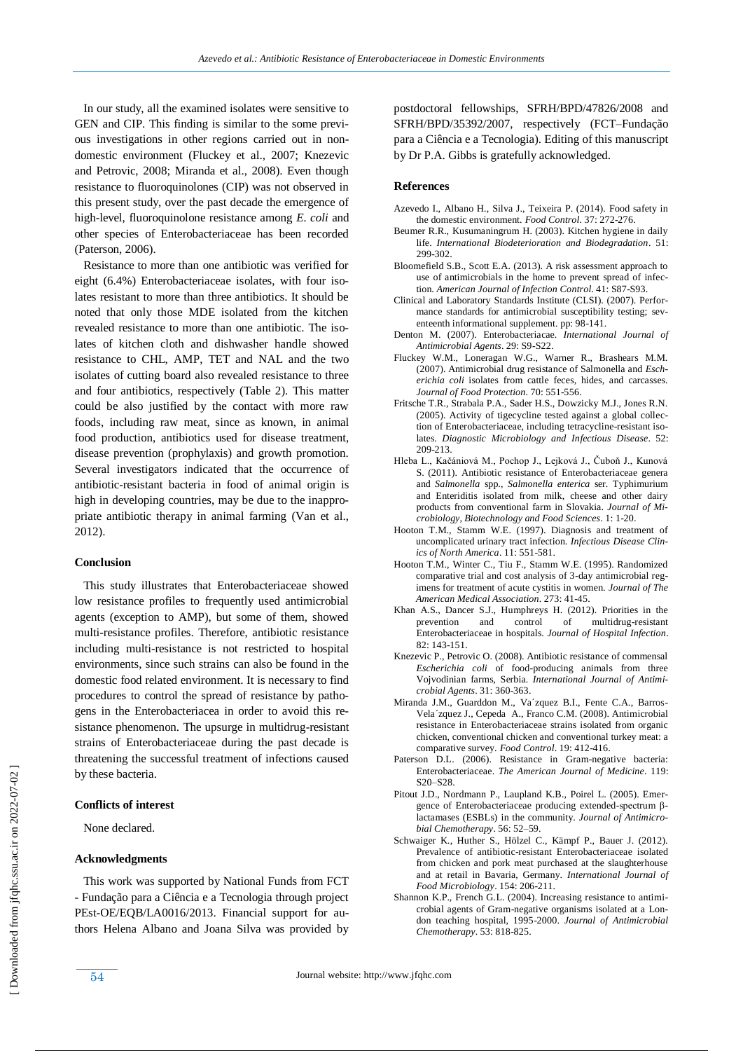In our study, all the examined isolates were sensitive to GEN and CIP. This finding is similar to the some previous investigations in other regions carried out in nondomestic environment (Fluckey et al., 2007; Knezevic and Petrovic, 2008; Miranda et al., 2008). Even though resistance to fluoroquinolones (CIP) was not observed in this present study, over the past decade the emergence of high-level, fluoroquinolone resistance among *E. coli* and other species of Enterobacteriaceae has been recorded (Paterson, 2006).

 Resistance to more than one antibiotic was verified for eight (6.4%) Enterobacteriaceae isolates, with four isolates resistant to more than three antibiotics. It should be noted that only those MDE isolated from the kitchen revealed resistance to more than one antibiotic. The isolates of kitchen cloth and dishwasher handle showed resistance to CHL, AMP, TET and NAL and the two isolates of cutting board also revealed resistance to three and four antibiotics, respectively (Table 2). This matter could be also justified by the contact with more raw foods, including raw meat, since as known, in animal food production, antibiotics used for disease treatment, disease prevention (prophylaxis) and growth promotion. Several investigators indicated that the occurrence of antibiotic-resistant bacteria in food of animal origin is high in developing countries, may be due to the inappropriate antibiotic therapy in animal farming (Van et al., 2012).

## **Conclusion**

 This study illustrates that Enterobacteriaceae showed low resistance profiles to frequently used antimicrobial agents (exception to AMP), but some of them, showed multi-resistance profiles. Therefore, antibiotic resistance including multi-resistance is not restricted to hospital environments, since such strains can also be found in the domestic food related environment. It is necessary to find procedures to control the spread of resistance by pathogens in the Enterobacteriacea in order to avoid this resistance phenomenon. The upsurge in multidrug-resistant strains of Enterobacteriaceae during the past decade is threatening the successful treatment of infections caused by these bacteria.

## **Conflicts of interest**

None declared.

# **Acknowledgments**

 This work was supported by National Funds from FCT - Fundação para a Ciência e a Tecnologia through project PEst-OE/EQB/LA0016/2013. Financial support for authors Helena Albano and Joana Silva was provided by postdoctoral fellowships, SFRH/BPD/47826/2008 and SFRH/BPD/35392/2007, respectively (FCT–Fundação para a Ciência e a Tecnologia). Editing of this manuscript by Dr P.A. Gibbs is gratefully acknowledged.

# **References**

- Azevedo I., Albano H., Silva J., Teixeira P. (2014). [Food safety in](http://www.sciencedirect.com/science/article/pii/S095671351300515X)  [the domestic environment.](http://www.sciencedirect.com/science/article/pii/S095671351300515X) *Food Control*. 37: 272-276.
- Beumer R.R., Kusumaningrum H. (2003). Kitchen hygiene in daily life. *International Biodeterioration and Biodegradation*. 51: 299-302.
- Bloomefield S.B., Scott E.A. (2013). A risk assessment approach to use of antimicrobials in the home to prevent spread of infection. *American Journal of Infection Control*. 41: S87-S93.
- Clinical and Laboratory Standards Institute (CLSI). (2007). Performance standards for antimicrobial susceptibility testing; seventeenth informational supplement. pp: 98-141.
- Denton M. (2007). Enterobacteriacae. *International Journal of Antimicrobial Agents*. 29: S9-S22.
- Fluckey W.M., Loneragan W.G., Warner R., Brashears M.M. (2007). Antimicrobial drug resistance of Salmonella and *Escherichia coli* isolates from cattle feces, hides, and carcasses. *Journal of Food Protection*. 70: 551-556.
- Fritsche T.R., Strabala P.A., Sader H.S., Dowzicky M.J., Jones R.N. (2005). Activity of tigecycline tested against a global collection of Enterobacteriaceae, including tetracycline-resistant isolates. *Diagnostic Microbiology and Infectious Disease*. 52: 209-213.
- Hleba L., Kačániová M., Pochop J., Lejková J., Čuboň J., Kunová S. (2011). Antibiotic resistance of Enterobacteriaceae genera and *Salmonella* spp., *Salmonella enterica* ser. Typhimurium and Enteriditis isolated from milk, cheese and other dairy products from conventional farm in Slovakia. *Journal of Microbiology, Biotechnology and Food Sciences*. 1: 1-20.
- Hooton T.M., Stamm W.E. (1997). Diagnosis and treatment of uncomplicated urinary tract infection. *Infectious Disease Clinics of North America*. 11: 551-581.
- Hooton T.M., Winter C., Tiu F., Stamm W.E. (1995). Randomized comparative trial and cost analysis of 3-day antimicrobial regimens for treatment of acute cystitis in women. *Journal of The American Medical Association*. 273: 41-45.
- Khan A.S., Dancer S.J., Humphreys H. (2012). Priorities in the prevention and control of multidrug-resistant Enterobacteriaceae in hospitals. *Journal of Hospital Infection*. 82: 143-151.
- Knezevic P., Petrovic O. (2008). Antibiotic resistance of commensal *Escherichia coli* of food-producing animals from three Vojvodinian farms, Serbia. *International Journal of Antimicrobial Agents*. 31: 360-363.
- Miranda J.M., Guarddon M., Va´zquez B.I., Fente C.A., Barros-Vela´zquez J., Cepeda A., Franco C.M. (2008). Antimicrobial resistance in Enterobacteriaceae strains isolated from organic chicken, conventional chicken and conventional turkey meat: a comparative survey. *Food Control*. 19: 412-416.
- Paterson D.L. (2006). Resistance in Gram-negative bacteria: Enterobacteriaceae. *The American Journal of Medicine*. 119: S20–S28.
- Pitout J.D., Nordmann P., Laupland K.B., Poirel L. (2005). Emergence of Enterobacteriaceae producing extended-spectrum βlactamases (ESBLs) in the community. *Journal of Antimicrobial Chemotherapy*. 56: 52–59.
- Schwaiger K., Huther S., Hölzel C., Kämpf P., Bauer J. (2012). Prevalence of antibiotic-resistant Enterobacteriaceae isolated from chicken and pork meat purchased at the slaughterhouse and at retail in Bavaria, Germany. *International Journal of Food Microbiology*. 154: 206-211.
- Shannon K.P., French G.L. (2004). Increasing resistance to antimicrobial agents of Gram-negative organisms isolated at a London teaching hospital, 1995-2000. *Journal of Antimicrobial Chemotherapy*. 53: 818-825.